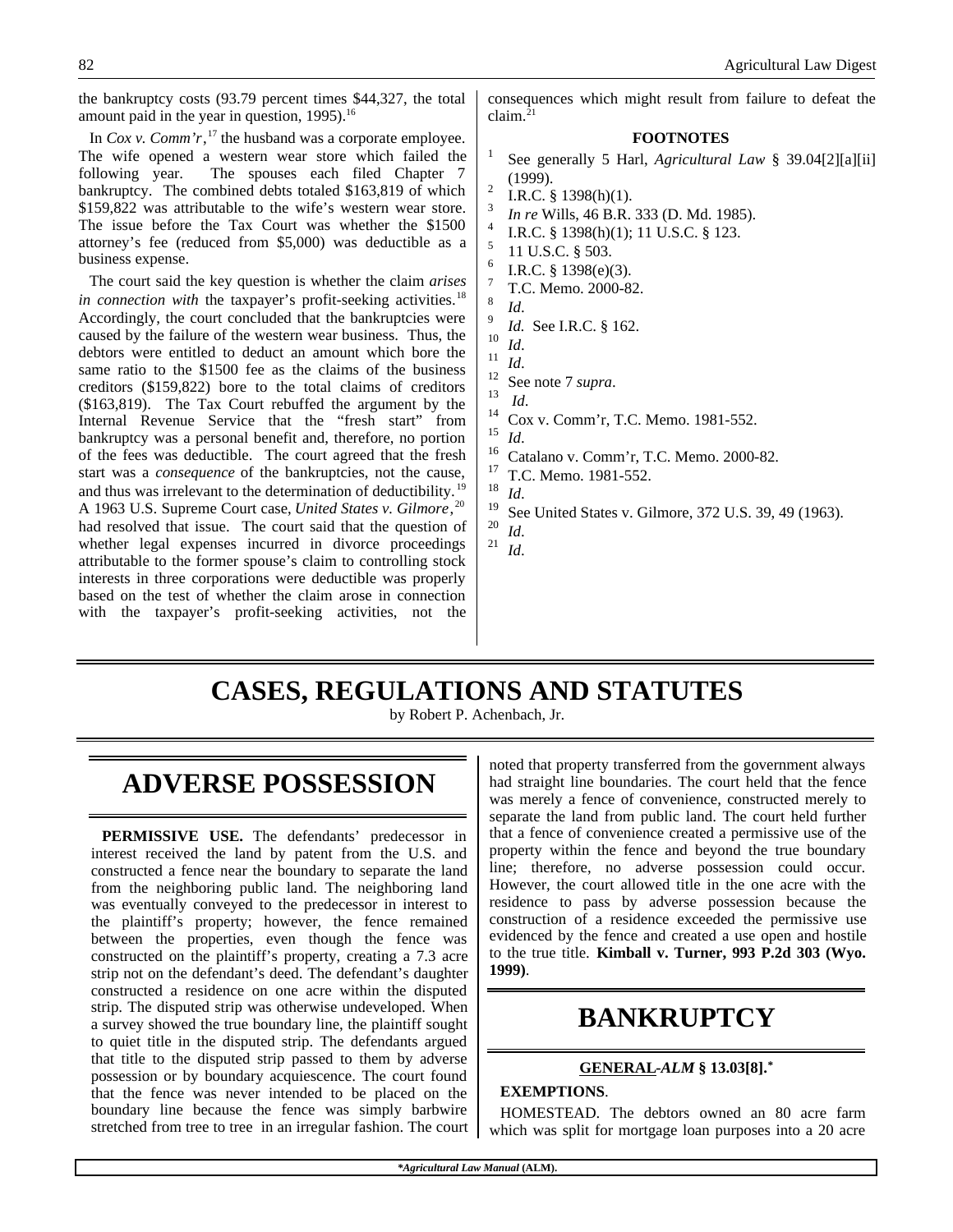the bankruptcy costs (93.79 percent times \$44,327, the total amount paid in the year in question,  $1995$ .<sup>16</sup>

In *Cox v. Comm'r*, <sup>17</sup> the husband was a corporate employee. The wife opened a western wear store which failed the following year. The spouses each filed Chapter 7 bankruptcy. The combined debts totaled \$163,819 of which \$159,822 was attributable to the wife's western wear store. The issue before the Tax Court was whether the \$1500 attorney's fee (reduced from \$5,000) was deductible as a business expense.

The court said the key question is whether the claim *arises in connection with* the taxpayer's profit-seeking activities.<sup>18</sup> Accordingly, the court concluded that the bankruptcies were caused by the failure of the western wear business. Thus, the debtors were entitled to deduct an amount which bore the same ratio to the \$1500 fee as the claims of the business creditors (\$159,822) bore to the total claims of creditors (\$163,819). The Tax Court rebuffed the argument by the Internal Revenue Service that the "fresh start" from bankruptcy was a personal benefit and, therefore, no portion of the fees was deductible. The court agreed that the fresh start was a *consequence* of the bankruptcies, not the cause, and thus was irrelevant to the determination of deductibility.<sup>19</sup> A 1963 U.S. Supreme Court case, *United States v. Gilmore*, 20 had resolved that issue. The court said that the question of whether legal expenses incurred in divorce proceedings attributable to the former spouse's claim to controlling stock interests in three corporations were deductible was properly based on the test of whether the claim arose in connection with the taxpayer's profit-seeking activities, not the consequences which might result from failure to defeat the claim. $^{21}$ 

#### **FOOTNOTES**

- 1 See generally 5 Harl, *Agricultural Law* § 39.04[2][a][ii] (1999).
- 2 I.R.C. § 1398(h)(1).
- 3 *In re* Wills, 46 B.R. 333 (D. Md. 1985).
- 4 I.R.C. § 1398(h)(1); 11 U.S.C. § 123.
- 5 11 U.S.C. § 503. 6
- I.R.C. § 1398(e)(3).
- 7 T.C. Memo. 2000-82. 8
- *Id*. 9
- *Id.* See I.R.C. § 162.
- $\frac{10}{11}$  *Id.*
- $\frac{11}{12}$  *Id.*
- $\frac{12}{13}$  See note 7 *supra*.
- $\frac{13}{14}$  *Id.*
- $^{14}$  Cox v. Comm'r, T.C. Memo. 1981-552.

 $\frac{15}{16}$  *Id.* 

- <sup>16</sup> Catalano v. Comm'r, T.C. Memo. 2000-82.
- $\frac{17}{18}$  T.C. Memo. 1981-552.

 $\frac{18}{19}$  *Id.* 

- <sup>19</sup> See United States v. Gilmore, 372 U.S. 39, 49 (1963).
- $\frac{20}{21}$  *Id.* <sup>21</sup> *Id*.

# **CASES, REGULATIONS AND STATUTES**

by Robert P. Achenbach, Jr.

### **ADVERSE POSSESSION**

**PERMISSIVE USE.** The defendants' predecessor in interest received the land by patent from the U.S. and constructed a fence near the boundary to separate the land from the neighboring public land. The neighboring land was eventually conveyed to the predecessor in interest to the plaintiff's property; however, the fence remained between the properties, even though the fence was constructed on the plaintiff's property, creating a 7.3 acre strip not on the defendant's deed. The defendant's daughter constructed a residence on one acre within the disputed strip. The disputed strip was otherwise undeveloped. When a survey showed the true boundary line, the plaintiff sought to quiet title in the disputed strip. The defendants argued that title to the disputed strip passed to them by adverse possession or by boundary acquiescence. The court found that the fence was never intended to be placed on the boundary line because the fence was simply barbwire stretched from tree to tree in an irregular fashion. The court noted that property transferred from the government always had straight line boundaries. The court held that the fence was merely a fence of convenience, constructed merely to separate the land from public land. The court held further that a fence of convenience created a permissive use of the property within the fence and beyond the true boundary line; therefore, no adverse possession could occur. However, the court allowed title in the one acre with the residence to pass by adverse possession because the construction of a residence exceeded the permissive use evidenced by the fence and created a use open and hostile to the true title. **Kimball v. Turner, 993 P.2d 303 (Wyo. 1999)**.

## **BANKRUPTCY**

#### **GENERAL -***ALM* **§ 13.03[8].\***

#### **EXEMPTIONS**.

HOMESTEAD. The debtors owned an 80 acre farm which was split for mortgage loan purposes into a 20 acre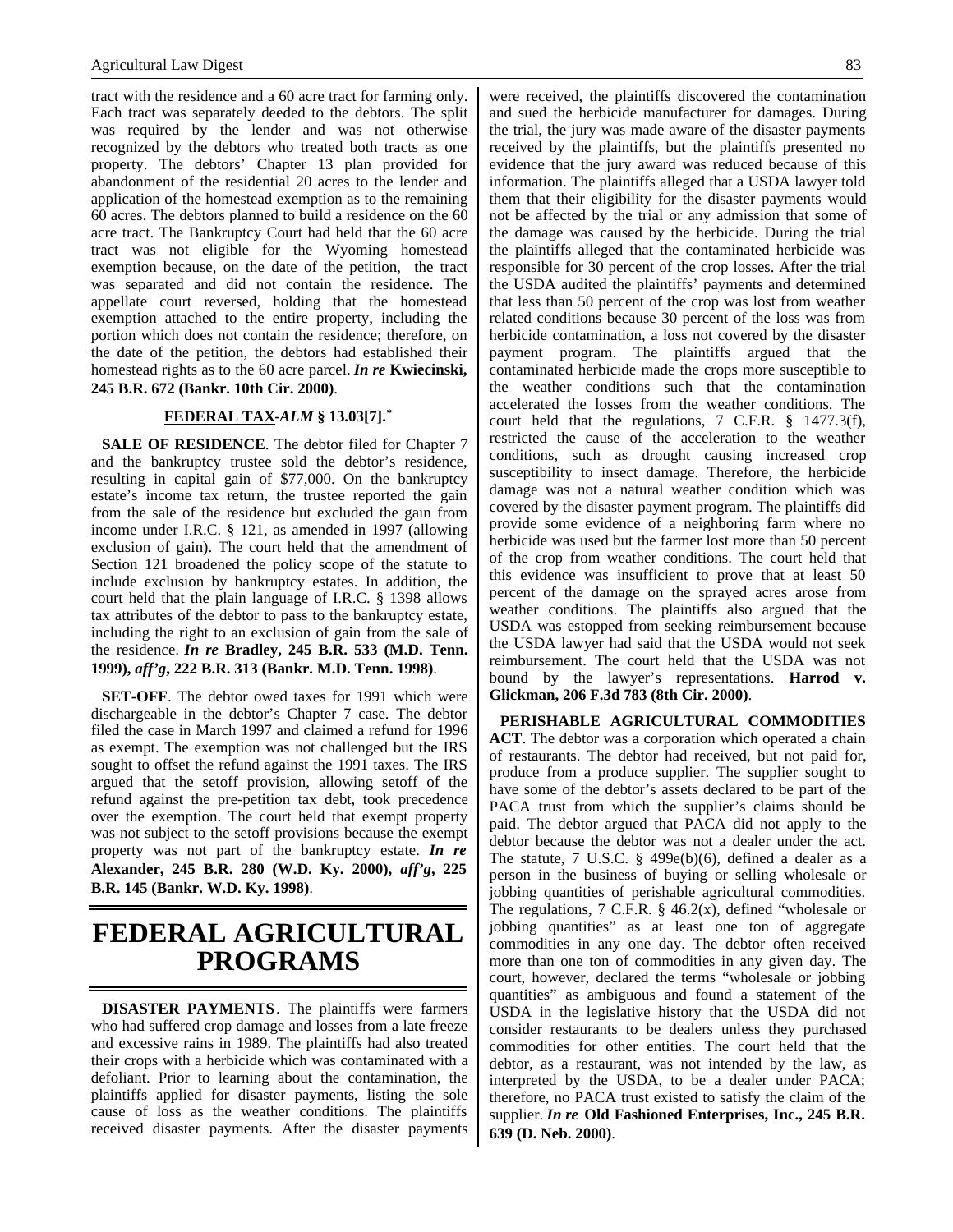tract with the residence and a 60 acre tract for farming only. Each tract was separately deeded to the debtors. The split was required by the lender and was not otherwise recognized by the debtors who treated both tracts as one property. The debtors' Chapter 13 plan provided for abandonment of the residential 20 acres to the lender and application of the homestead exemption as to the remaining 60 acres. The debtors planned to build a residence on the 60 acre tract. The Bankruptcy Court had held that the 60 acre tract was not eligible for the Wyoming homestead exemption because, on the date of the petition, the tract was separated and did not contain the residence. The appellate court reversed, holding that the homestead exemption attached to the entire property, including the portion which does not contain the residence; therefore, on the date of the petition, the debtors had established their homestead rights as to the 60 acre parcel. *In re* **Kwiecinski, 245 B.R. 672 (Bankr. 10th Cir. 2000)**.

#### **FEDERAL TAX -***ALM* **§ 13.03[7].\***

**SALE OF RESIDENCE**. The debtor filed for Chapter 7 and the bankruptcy trustee sold the debtor's residence, resulting in capital gain of \$77,000. On the bankruptcy estate's income tax return, the trustee reported the gain from the sale of the residence but excluded the gain from income under I.R.C. § 121, as amended in 1997 (allowing exclusion of gain). The court held that the amendment of Section 121 broadened the policy scope of the statute to include exclusion by bankruptcy estates. In addition, the court held that the plain language of I.R.C. § 1398 allows tax attributes of the debtor to pass to the bankruptcy estate, including the right to an exclusion of gain from the sale of the residence. *In re* **Bradley, 245 B.R. 533 (M.D. Tenn. 1999),** *aff'g***, 222 B.R. 313 (Bankr. M.D. Tenn. 1998)**.

**SET-OFF**. The debtor owed taxes for 1991 which were dischargeable in the debtor's Chapter 7 case. The debtor filed the case in March 1997 and claimed a refund for 1996 as exempt. The exemption was not challenged but the IRS sought to offset the refund against the 1991 taxes. The IRS argued that the setoff provision, allowing setoff of the refund against the pre-petition tax debt, took precedence over the exemption. The court held that exempt property was not subject to the setoff provisions because the exempt property was not part of the bankruptcy estate. *In re* **Alexander, 245 B.R. 280 (W.D. Ky. 2000),** *aff'g***, 225 B.R. 145 (Bankr. W.D. Ky. 1998)**.

### **FEDERAL AGRICULTURAL PROGRAMS**

**DISASTER PAYMENTS**. The plaintiffs were farmers who had suffered crop damage and losses from a late freeze and excessive rains in 1989. The plaintiffs had also treated their crops with a herbicide which was contaminated with a defoliant. Prior to learning about the contamination, the plaintiffs applied for disaster payments, listing the sole cause of loss as the weather conditions. The plaintiffs received disaster payments. After the disaster payments

were received, the plaintiffs discovered the contamination and sued the herbicide manufacturer for damages. During the trial, the jury was made aware of the disaster payments received by the plaintiffs, but the plaintiffs presented no evidence that the jury award was reduced because of this information. The plaintiffs alleged that a USDA lawyer told them that their eligibility for the disaster payments would not be affected by the trial or any admission that some of the damage was caused by the herbicide. During the trial the plaintiffs alleged that the contaminated herbicide was responsible for 30 percent of the crop losses. After the trial the USDA audited the plaintiffs' payments and determined that less than 50 percent of the crop was lost from weather related conditions because 30 percent of the loss was from herbicide contamination, a loss not covered by the disaster payment program. The plaintiffs argued that the contaminated herbicide made the crops more susceptible to the weather conditions such that the contamination accelerated the losses from the weather conditions. The court held that the regulations, 7 C.F.R. § 1477.3(f), restricted the cause of the acceleration to the weather conditions, such as drought causing increased crop susceptibility to insect damage. Therefore, the herbicide damage was not a natural weather condition which was covered by the disaster payment program. The plaintiffs did provide some evidence of a neighboring farm where no herbicide was used but the farmer lost more than 50 percent of the crop from weather conditions. The court held that this evidence was insufficient to prove that at least 50 percent of the damage on the sprayed acres arose from weather conditions. The plaintiffs also argued that the USDA was estopped from seeking reimbursement because the USDA lawyer had said that the USDA would not seek reimbursement. The court held that the USDA was not bound by the lawyer's representations. **Harrod v. Glickman, 206 F.3d 783 (8th Cir. 2000)**.

**PERISHABLE AGRICULTURAL COMMODITIES ACT**. The debtor was a corporation which operated a chain of restaurants. The debtor had received, but not paid for, produce from a produce supplier. The supplier sought to have some of the debtor's assets declared to be part of the PACA trust from which the supplier's claims should be paid. The debtor argued that PACA did not apply to the debtor because the debtor was not a dealer under the act. The statute, 7 U.S.C. § 499e(b)(6), defined a dealer as a person in the business of buying or selling wholesale or jobbing quantities of perishable agricultural commodities. The regulations, 7 C.F.R.  $\S$  46.2(x), defined "wholesale or jobbing quantities" as at least one ton of aggregate commodities in any one day. The debtor often received more than one ton of commodities in any given day. The court, however, declared the terms "wholesale or jobbing quantities" as ambiguous and found a statement of the USDA in the legislative history that the USDA did not consider restaurants to be dealers unless they purchased commodities for other entities. The court held that the debtor, as a restaurant, was not intended by the law, as interpreted by the USDA, to be a dealer under PACA; therefore, no PACA trust existed to satisfy the claim of the supplier. *In re* **Old Fashioned Enterprises, Inc., 245 B.R. 639 (D. Neb. 2000)**.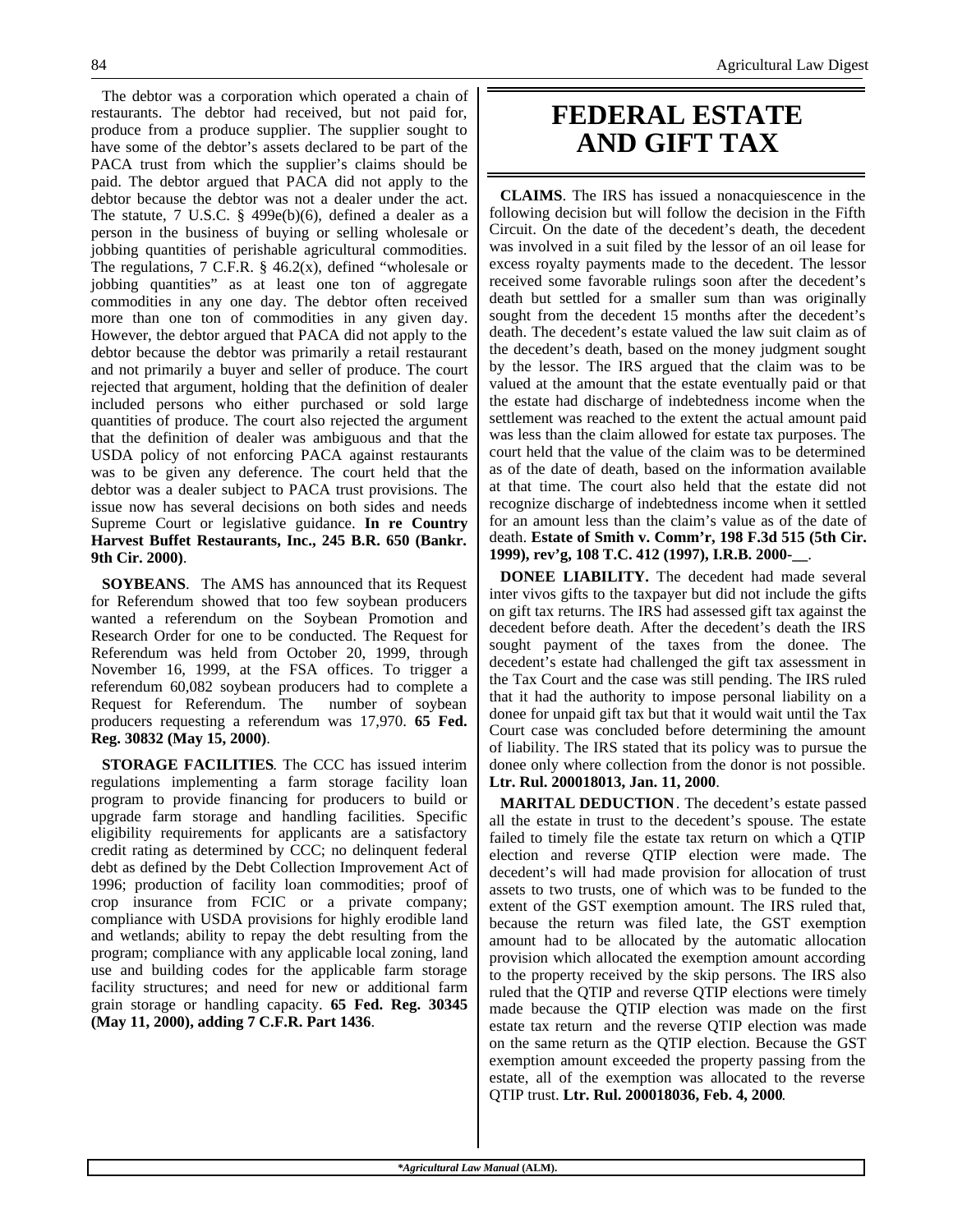The debtor was a corporation which operated a chain of restaurants. The debtor had received, but not paid for, produce from a produce supplier. The supplier sought to have some of the debtor's assets declared to be part of the PACA trust from which the supplier's claims should be paid. The debtor argued that PACA did not apply to the debtor because the debtor was not a dealer under the act. The statute, 7 U.S.C. § 499e(b)(6), defined a dealer as a person in the business of buying or selling wholesale or jobbing quantities of perishable agricultural commodities. The regulations, 7 C.F.R.  $\S$  46.2(x), defined "wholesale or jobbing quantities" as at least one ton of aggregate commodities in any one day. The debtor often received more than one ton of commodities in any given day. However, the debtor argued that PACA did not apply to the debtor because the debtor was primarily a retail restaurant and not primarily a buyer and seller of produce. The court rejected that argument, holding that the definition of dealer included persons who either purchased or sold large quantities of produce. The court also rejected the argument that the definition of dealer was ambiguous and that the USDA policy of not enforcing PACA against restaurants was to be given any deference. The court held that the debtor was a dealer subject to PACA trust provisions. The issue now has several decisions on both sides and needs Supreme Court or legislative guidance. **In re Country Harvest Buffet Restaurants, Inc., 245 B.R. 650 (Bankr. 9th Cir. 2000)**.

**SOYBEANS**. The AMS has announced that its Request for Referendum showed that too few soybean producers wanted a referendum on the Soybean Promotion and Research Order for one to be conducted. The Request for Referendum was held from October 20, 1999, through November 16, 1999, at the FSA offices. To trigger a referendum 60,082 soybean producers had to complete a Request for Referendum. The number of soybean producers requesting a referendum was 17,970. **65 Fed. Reg. 30832 (May 15, 2000)**.

**STORAGE FACILITIES**. The CCC has issued interim regulations implementing a farm storage facility loan program to provide financing for producers to build or upgrade farm storage and handling facilities. Specific eligibility requirements for applicants are a satisfactory credit rating as determined by CCC; no delinquent federal debt as defined by the Debt Collection Improvement Act of 1996; production of facility loan commodities; proof of crop insurance from FCIC or a private company; compliance with USDA provisions for highly erodible land and wetlands; ability to repay the debt resulting from the program; compliance with any applicable local zoning, land use and building codes for the applicable farm storage facility structures; and need for new or additional farm grain storage or handling capacity. **65 Fed. Reg. 30345 (May 11, 2000), adding 7 C.F.R. Part 1436**.

### **FEDERAL ESTATE AND GIFT TAX**

**CLAIMS**. The IRS has issued a nonacquiescence in the following decision but will follow the decision in the Fifth Circuit. On the date of the decedent's death, the decedent was involved in a suit filed by the lessor of an oil lease for excess royalty payments made to the decedent. The lessor received some favorable rulings soon after the decedent's death but settled for a smaller sum than was originally sought from the decedent 15 months after the decedent's death. The decedent's estate valued the law suit claim as of the decedent's death, based on the money judgment sought by the lessor. The IRS argued that the claim was to be valued at the amount that the estate eventually paid or that the estate had discharge of indebtedness income when the settlement was reached to the extent the actual amount paid was less than the claim allowed for estate tax purposes. The court held that the value of the claim was to be determined as of the date of death, based on the information available at that time. The court also held that the estate did not recognize discharge of indebtedness income when it settled for an amount less than the claim's value as of the date of death. **Estate of Smith v. Comm'r, 198 F.3d 515 (5th Cir. 1999), rev'g, 108 T.C. 412 (1997), I.R.B. 2000-\_\_**.

**DONEE LIABILITY.** The decedent had made several inter vivos gifts to the taxpayer but did not include the gifts on gift tax returns. The IRS had assessed gift tax against the decedent before death. After the decedent's death the IRS sought payment of the taxes from the donee. The decedent's estate had challenged the gift tax assessment in the Tax Court and the case was still pending. The IRS ruled that it had the authority to impose personal liability on a donee for unpaid gift tax but that it would wait until the Tax Court case was concluded before determining the amount of liability. The IRS stated that its policy was to pursue the donee only where collection from the donor is not possible. **Ltr. Rul. 200018013, Jan. 11, 2000**.

**MARITAL DEDUCTION**. The decedent's estate passed all the estate in trust to the decedent's spouse. The estate failed to timely file the estate tax return on which a QTIP election and reverse QTIP election were made. The decedent's will had made provision for allocation of trust assets to two trusts, one of which was to be funded to the extent of the GST exemption amount. The IRS ruled that, because the return was filed late, the GST exemption amount had to be allocated by the automatic allocation provision which allocated the exemption amount according to the property received by the skip persons. The IRS also ruled that the QTIP and reverse QTIP elections were timely made because the QTIP election was made on the first estate tax return and the reverse QTIP election was made on the same return as the QTIP election. Because the GST exemption amount exceeded the property passing from the estate, all of the exemption was allocated to the reverse QTIP trust. **Ltr. Rul. 200018036, Feb. 4, 2000**.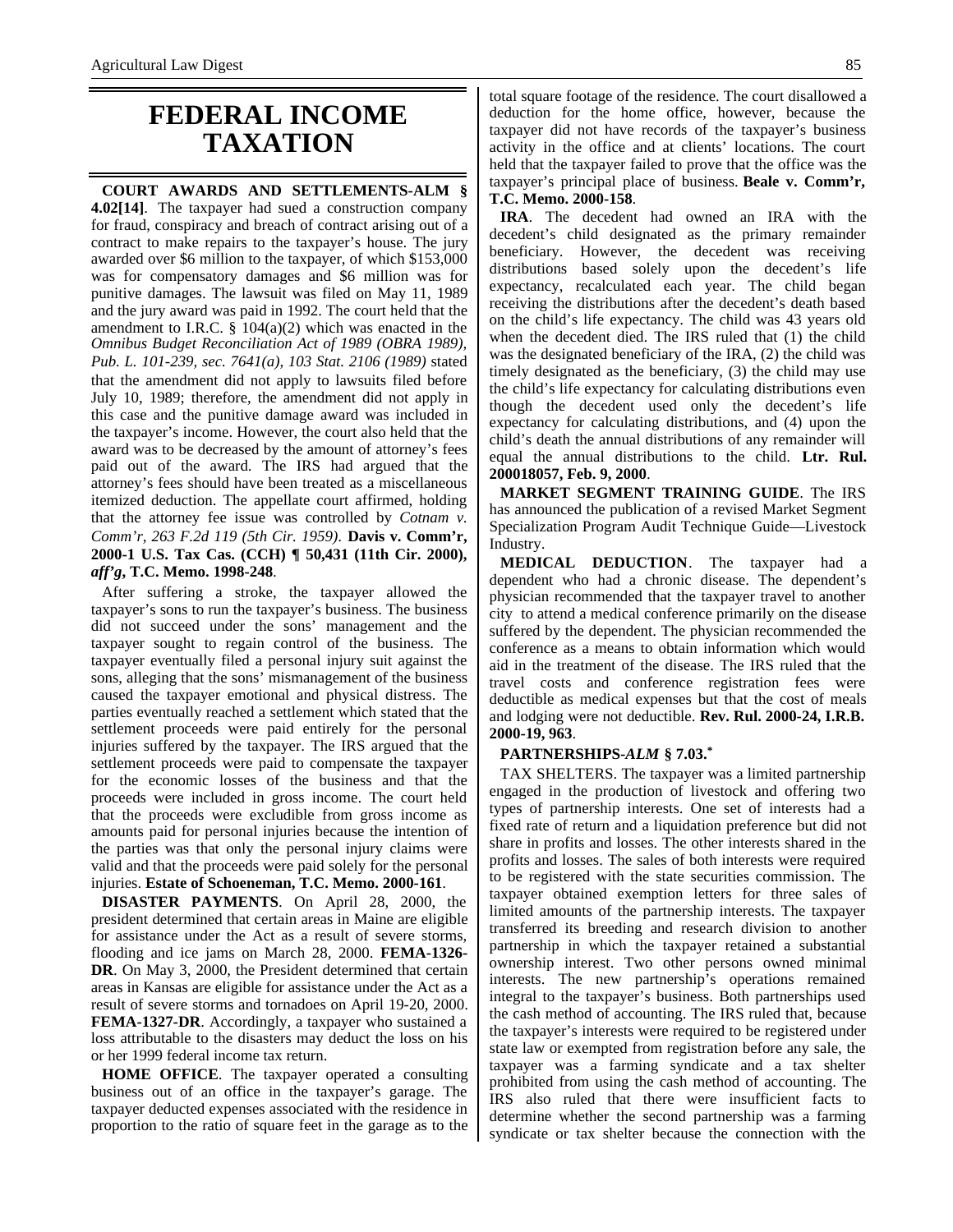### **FEDERAL INCOME TAXATION**

**COURT AWARDS AND SETTLEMENTS-ALM § 4.02[14]**. The taxpayer had sued a construction company for fraud, conspiracy and breach of contract arising out of a contract to make repairs to the taxpayer's house. The jury awarded over \$6 million to the taxpayer, of which \$153,000 was for compensatory damages and \$6 million was for punitive damages. The lawsuit was filed on May 11, 1989 and the jury award was paid in 1992. The court held that the amendment to I.R.C.  $\S$  104(a)(2) which was enacted in the *Omnibus Budget Reconciliation Act of 1989 (OBRA 1989), Pub. L. 101-239, sec. 7641(a), 103 Stat. 2106 (1989)* stated that the amendment did not apply to lawsuits filed before July 10, 1989; therefore, the amendment did not apply in this case and the punitive damage award was included in the taxpayer's income. However, the court also held that the award was to be decreased by the amount of attorney's fees paid out of the award. The IRS had argued that the attorney's fees should have been treated as a miscellaneous itemized deduction. The appellate court affirmed, holding that the attorney fee issue was controlled by *Cotnam v. Comm'r, 263 F.2d 119 (5th Cir. 1959)*. **Davis v. Comm'r, 2000-1 U.S. Tax Cas. (CCH) ¶ 50,431 (11th Cir. 2000),** *aff'g***, T.C. Memo. 1998-248**.

After suffering a stroke, the taxpayer allowed the taxpayer's sons to run the taxpayer's business. The business did not succeed under the sons' management and the taxpayer sought to regain control of the business. The taxpayer eventually filed a personal injury suit against the sons, alleging that the sons' mismanagement of the business caused the taxpayer emotional and physical distress. The parties eventually reached a settlement which stated that the settlement proceeds were paid entirely for the personal injuries suffered by the taxpayer. The IRS argued that the settlement proceeds were paid to compensate the taxpayer for the economic losses of the business and that the proceeds were included in gross income. The court held that the proceeds were excludible from gross income as amounts paid for personal injuries because the intention of the parties was that only the personal injury claims were valid and that the proceeds were paid solely for the personal injuries. **Estate of Schoeneman, T.C. Memo. 2000-161**.

**DISASTER PAYMENTS**. On April 28, 2000, the president determined that certain areas in Maine are eligible for assistance under the Act as a result of severe storms, flooding and ice jams on March 28, 2000. **FEMA-1326- DR**. On May 3, 2000, the President determined that certain areas in Kansas are eligible for assistance under the Act as a result of severe storms and tornadoes on April 19-20, 2000. **FEMA-1327-DR**. Accordingly, a taxpayer who sustained a loss attributable to the disasters may deduct the loss on his or her 1999 federal income tax return.

**HOME OFFICE**. The taxpayer operated a consulting business out of an office in the taxpayer's garage. The taxpayer deducted expenses associated with the residence in proportion to the ratio of square feet in the garage as to the total square footage of the residence. The court disallowed a deduction for the home office, however, because the taxpayer did not have records of the taxpayer's business activity in the office and at clients' locations. The court held that the taxpayer failed to prove that the office was the taxpayer's principal place of business. **Beale v. Comm'r, T.C. Memo. 2000-158**.

**IRA**. The decedent had owned an IRA with the decedent's child designated as the primary remainder beneficiary. However, the decedent was receiving distributions based solely upon the decedent's life expectancy, recalculated each year. The child began receiving the distributions after the decedent's death based on the child's life expectancy. The child was 43 years old when the decedent died. The IRS ruled that (1) the child was the designated beneficiary of the IRA, (2) the child was timely designated as the beneficiary, (3) the child may use the child's life expectancy for calculating distributions even though the decedent used only the decedent's life expectancy for calculating distributions, and (4) upon the child's death the annual distributions of any remainder will equal the annual distributions to the child. **Ltr. Rul. 200018057, Feb. 9, 2000**.

**MARKET SEGMENT TRAINING GUIDE**. The IRS has announced the publication of a revised Market Segment Specialization Program Audit Technique Guide—Livestock Industry.

**MEDICAL DEDUCTION**. The taxpayer had a dependent who had a chronic disease. The dependent's physician recommended that the taxpayer travel to another city to attend a medical conference primarily on the disease suffered by the dependent. The physician recommended the conference as a means to obtain information which would aid in the treatment of the disease. The IRS ruled that the travel costs and conference registration fees were deductible as medical expenses but that the cost of meals and lodging were not deductible. **Rev. Rul. 2000-24, I.R.B. 2000-19, 963**.

#### **PARTNERSHIPS-***ALM* **§ 7.03.\***

TAX SHELTERS. The taxpayer was a limited partnership engaged in the production of livestock and offering two types of partnership interests. One set of interests had a fixed rate of return and a liquidation preference but did not share in profits and losses. The other interests shared in the profits and losses. The sales of both interests were required to be registered with the state securities commission. The taxpayer obtained exemption letters for three sales of limited amounts of the partnership interests. The taxpayer transferred its breeding and research division to another partnership in which the taxpayer retained a substantial ownership interest. Two other persons owned minimal interests. The new partnership's operations remained integral to the taxpayer's business. Both partnerships used the cash method of accounting. The IRS ruled that, because the taxpayer's interests were required to be registered under state law or exempted from registration before any sale, the taxpayer was a farming syndicate and a tax shelter prohibited from using the cash method of accounting. The IRS also ruled that there were insufficient facts to determine whether the second partnership was a farming syndicate or tax shelter because the connection with the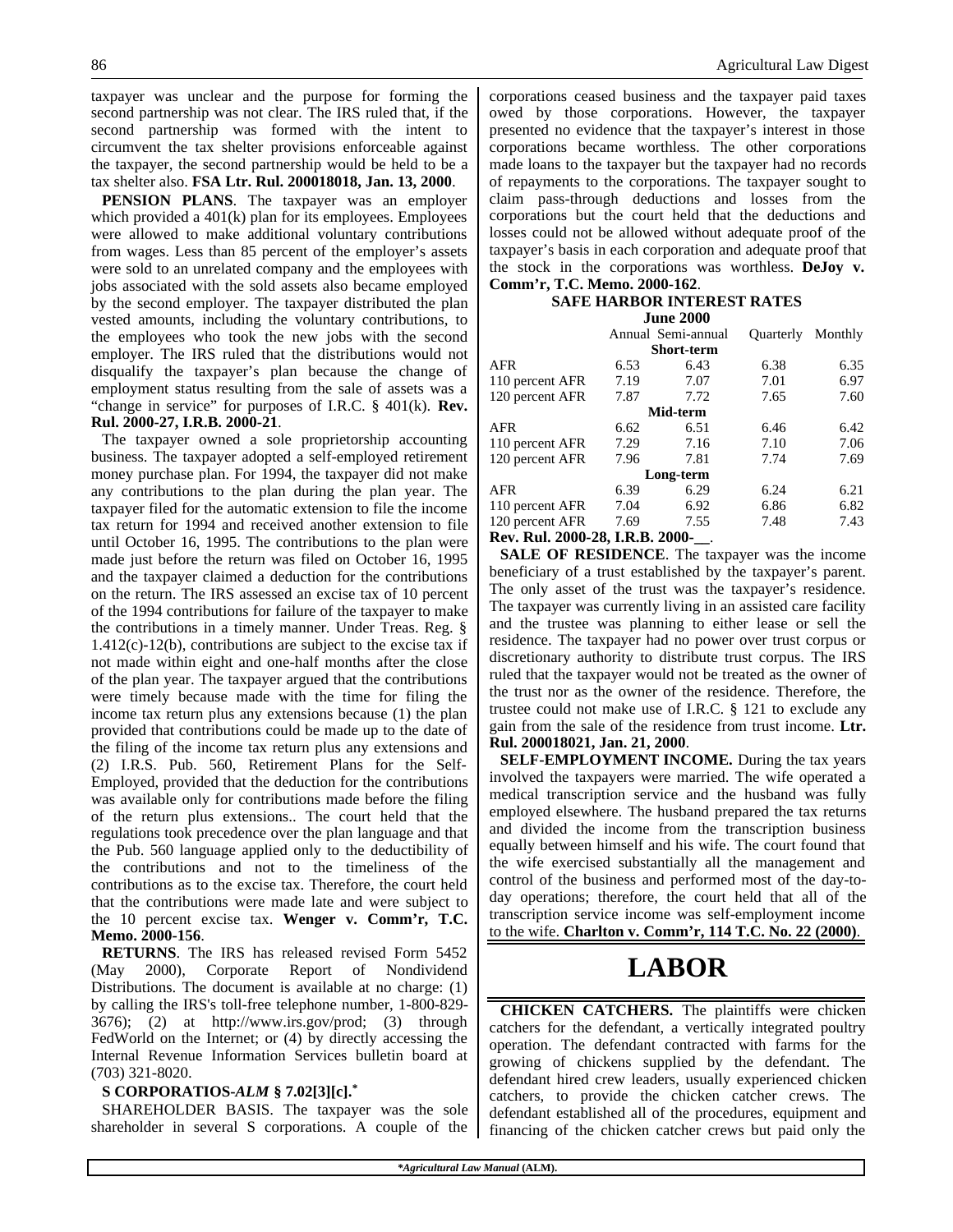taxpayer was unclear and the purpose for forming the second partnership was not clear. The IRS ruled that, if the second partnership was formed with the intent to circumvent the tax shelter provisions enforceable against the taxpayer, the second partnership would be held to be a tax shelter also. **FSA Ltr. Rul. 200018018, Jan. 13, 2000**.

**PENSION PLANS**. The taxpayer was an employer which provided a 401(k) plan for its employees. Employees were allowed to make additional voluntary contributions from wages. Less than 85 percent of the employer's assets were sold to an unrelated company and the employees with jobs associated with the sold assets also became employed by the second employer. The taxpayer distributed the plan vested amounts, including the voluntary contributions, to the employees who took the new jobs with the second employer. The IRS ruled that the distributions would not disqualify the taxpayer's plan because the change of employment status resulting from the sale of assets was a "change in service" for purposes of I.R.C. § 401(k). **Rev. Rul. 2000-27, I.R.B. 2000-21**.

The taxpayer owned a sole proprietorship accounting business. The taxpayer adopted a self-employed retirement money purchase plan. For 1994, the taxpayer did not make any contributions to the plan during the plan year. The taxpayer filed for the automatic extension to file the income tax return for 1994 and received another extension to file until October 16, 1995. The contributions to the plan were made just before the return was filed on October 16, 1995 and the taxpayer claimed a deduction for the contributions on the return. The IRS assessed an excise tax of 10 percent of the 1994 contributions for failure of the taxpayer to make the contributions in a timely manner. Under Treas. Reg. § 1.412(c)-12(b), contributions are subject to the excise tax if not made within eight and one-half months after the close of the plan year. The taxpayer argued that the contributions were timely because made with the time for filing the income tax return plus any extensions because (1) the plan provided that contributions could be made up to the date of the filing of the income tax return plus any extensions and (2) I.R.S. Pub. 560, Retirement Plans for the Self-Employed, provided that the deduction for the contributions was available only for contributions made before the filing of the return plus extensions.. The court held that the regulations took precedence over the plan language and that the Pub. 560 language applied only to the deductibility of the contributions and not to the timeliness of the contributions as to the excise tax. Therefore, the court held that the contributions were made late and were subject to the 10 percent excise tax. **Wenger v. Comm'r, T.C. Memo. 2000-156**.

**RETURNS**. The IRS has released revised Form 5452 (May 2000), Corporate Report of Nondividend Distributions. The document is available at no charge: (1) by calling the IRS's toll-free telephone number, 1-800-829- 3676); (2) at http://www.irs.gov/prod; (3) through FedWorld on the Internet; or (4) by directly accessing the Internal Revenue Information Services bulletin board at (703) 321-8020.

#### **S CORPORATIOS-***ALM* **§ 7.02[3][c].\***

SHAREHOLDER BASIS. The taxpayer was the sole shareholder in several S corporations. A couple of the corporations ceased business and the taxpayer paid taxes owed by those corporations. However, the taxpayer presented no evidence that the taxpayer's interest in those corporations became worthless. The other corporations made loans to the taxpayer but the taxpayer had no records of repayments to the corporations. The taxpayer sought to claim pass-through deductions and losses from the corporations but the court held that the deductions and losses could not be allowed without adequate proof of the taxpayer's basis in each corporation and adequate proof that the stock in the corporations was worthless. **DeJoy v. Comm'r, T.C. Memo. 2000-162**.

#### **SAFE HARBOR INTEREST RATES June 2000**

|                                                                                                                     |      | $\boldsymbol{u}$ and $\boldsymbol{v}$ or $\boldsymbol{v}$ |                  |         |
|---------------------------------------------------------------------------------------------------------------------|------|-----------------------------------------------------------|------------------|---------|
|                                                                                                                     |      | Annual Semi-annual                                        | <b>Ouarterly</b> | Monthly |
|                                                                                                                     |      | <b>Short-term</b>                                         |                  |         |
| <b>AFR</b>                                                                                                          | 6.53 | 6.43                                                      | 6.38             | 6.35    |
| 110 percent AFR                                                                                                     | 7.19 | 7.07                                                      | 7.01             | 6.97    |
| 120 percent AFR                                                                                                     | 7.87 | 7.72                                                      | 7.65             | 7.60    |
|                                                                                                                     |      | Mid-term                                                  |                  |         |
| <b>AFR</b>                                                                                                          | 6.62 | 6.51                                                      | 6.46             | 6.42    |
| 110 percent AFR                                                                                                     | 7.29 | 7.16                                                      | 7.10             | 7.06    |
| 120 percent AFR                                                                                                     | 7.96 | 7.81                                                      | 7.74             | 7.69    |
|                                                                                                                     |      | Long-term                                                 |                  |         |
| <b>AFR</b>                                                                                                          | 6.39 | 6.29                                                      | 6.24             | 6.21    |
| 110 percent AFR                                                                                                     | 7.04 | 6.92                                                      | 6.86             | 6.82    |
| 120 percent AFR                                                                                                     | 7.69 | 7.55                                                      | 7.48             | 7.43    |
| $\mathbf{r}$ $\mathbf{r}$ $\mathbf{r}$ $\mathbf{r}$ $\mathbf{r}$<br>$\mathbf{A}\mathbf{A}\mathbf{A}\mathbf{A}$<br>. |      |                                                           |                  |         |

**Rev. Rul. 2000-28, I.R.B. 2000-\_\_**.

**SALE OF RESIDENCE**. The taxpayer was the income beneficiary of a trust established by the taxpayer's parent. The only asset of the trust was the taxpayer's residence. The taxpayer was currently living in an assisted care facility and the trustee was planning to either lease or sell the residence. The taxpayer had no power over trust corpus or discretionary authority to distribute trust corpus. The IRS ruled that the taxpayer would not be treated as the owner of the trust nor as the owner of the residence. Therefore, the trustee could not make use of I.R.C. § 121 to exclude any gain from the sale of the residence from trust income. **Ltr. Rul. 200018021, Jan. 21, 2000**.

**SELF-EMPLOYMENT INCOME.** During the tax years involved the taxpayers were married. The wife operated a medical transcription service and the husband was fully employed elsewhere. The husband prepared the tax returns and divided the income from the transcription business equally between himself and his wife. The court found that the wife exercised substantially all the management and control of the business and performed most of the day-today operations; therefore, the court held that all of the transcription service income was self-employment income to the wife. **Charlton v. Comm'r, 114 T.C. No. 22 (2000)**.

## **LABOR**

**CHICKEN CATCHERS.** The plaintiffs were chicken catchers for the defendant, a vertically integrated poultry operation. The defendant contracted with farms for the growing of chickens supplied by the defendant. The defendant hired crew leaders, usually experienced chicken catchers, to provide the chicken catcher crews. The defendant established all of the procedures, equipment and financing of the chicken catcher crews but paid only the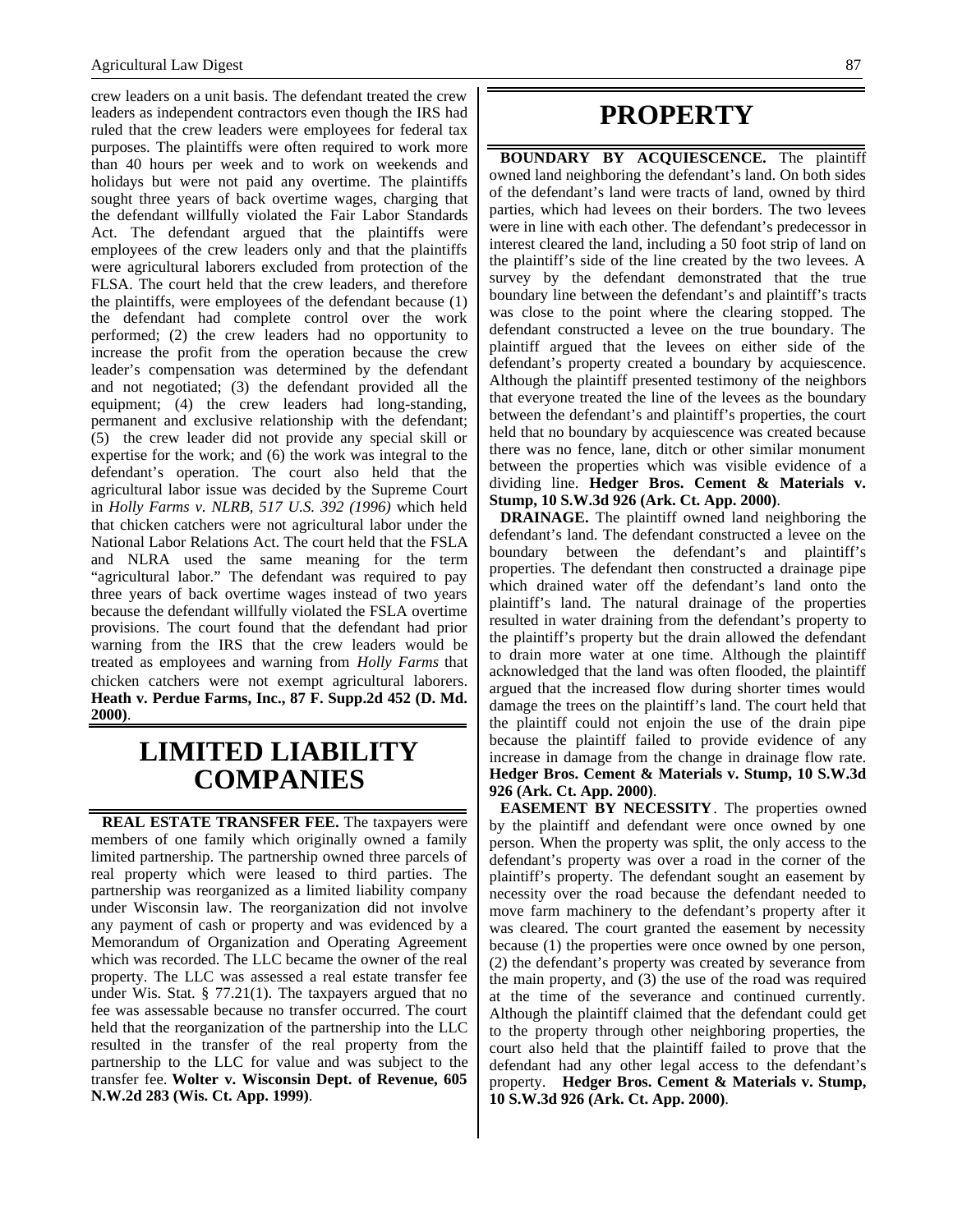crew leaders on a unit basis. The defendant treated the crew leaders as independent contractors even though the IRS had ruled that the crew leaders were employees for federal tax purposes. The plaintiffs were often required to work more than 40 hours per week and to work on weekends and holidays but were not paid any overtime. The plaintiffs sought three years of back overtime wages, charging that the defendant willfully violated the Fair Labor Standards Act. The defendant argued that the plaintiffs were employees of the crew leaders only and that the plaintiffs were agricultural laborers excluded from protection of the FLSA. The court held that the crew leaders, and therefore the plaintiffs, were employees of the defendant because (1) the defendant had complete control over the work performed; (2) the crew leaders had no opportunity to increase the profit from the operation because the crew leader's compensation was determined by the defendant and not negotiated; (3) the defendant provided all the equipment; (4) the crew leaders had long-standing, permanent and exclusive relationship with the defendant; (5) the crew leader did not provide any special skill or expertise for the work; and (6) the work was integral to the defendant's operation. The court also held that the agricultural labor issue was decided by the Supreme Court in *Holly Farms v. NLRB, 517 U.S. 392 (1996)* which held that chicken catchers were not agricultural labor under the National Labor Relations Act. The court held that the FSLA and NLRA used the same meaning for the term "agricultural labor." The defendant was required to pay three years of back overtime wages instead of two years because the defendant willfully violated the FSLA overtime provisions. The court found that the defendant had prior warning from the IRS that the crew leaders would be treated as employees and warning from *Holly Farms* that chicken catchers were not exempt agricultural laborers. **Heath v. Perdue Farms, Inc., 87 F. Supp.2d 452 (D. Md. 2000)**.

### **LIMITED LIABILITY COMPANIES**

**REAL ESTATE TRANSFER FEE.** The taxpayers were members of one family which originally owned a family limited partnership. The partnership owned three parcels of real property which were leased to third parties. The partnership was reorganized as a limited liability company under Wisconsin law. The reorganization did not involve any payment of cash or property and was evidenced by a Memorandum of Organization and Operating Agreement which was recorded. The LLC became the owner of the real property. The LLC was assessed a real estate transfer fee under Wis. Stat. § 77.21(1). The taxpayers argued that no fee was assessable because no transfer occurred. The court held that the reorganization of the partnership into the LLC resulted in the transfer of the real property from the partnership to the LLC for value and was subject to the transfer fee. **Wolter v. Wisconsin Dept. of Revenue, 605 N.W.2d 283 (Wis. Ct. App. 1999)**.

### **PROPERTY**

**BOUNDARY BY ACQUIESCENCE.** The plaintiff owned land neighboring the defendant's land. On both sides of the defendant's land were tracts of land, owned by third parties, which had levees on their borders. The two levees were in line with each other. The defendant's predecessor in interest cleared the land, including a 50 foot strip of land on the plaintiff's side of the line created by the two levees. A survey by the defendant demonstrated that the true boundary line between the defendant's and plaintiff's tracts was close to the point where the clearing stopped. The defendant constructed a levee on the true boundary. The plaintiff argued that the levees on either side of the defendant's property created a boundary by acquiescence. Although the plaintiff presented testimony of the neighbors that everyone treated the line of the levees as the boundary between the defendant's and plaintiff's properties, the court held that no boundary by acquiescence was created because there was no fence, lane, ditch or other similar monument between the properties which was visible evidence of a dividing line. **Hedger Bros. Cement & Materials v. Stump, 10 S.W.3d 926 (Ark. Ct. App. 2000)**.

**DRAINAGE.** The plaintiff owned land neighboring the defendant's land. The defendant constructed a levee on the boundary between the defendant's and plaintiff's properties. The defendant then constructed a drainage pipe which drained water off the defendant's land onto the plaintiff's land. The natural drainage of the properties resulted in water draining from the defendant's property to the plaintiff's property but the drain allowed the defendant to drain more water at one time. Although the plaintiff acknowledged that the land was often flooded, the plaintiff argued that the increased flow during shorter times would damage the trees on the plaintiff's land. The court held that the plaintiff could not enjoin the use of the drain pipe because the plaintiff failed to provide evidence of any increase in damage from the change in drainage flow rate. **Hedger Bros. Cement & Materials v. Stump, 10 S.W.3d 926 (Ark. Ct. App. 2000)**.

**EASEMENT BY NECESSITY**. The properties owned by the plaintiff and defendant were once owned by one person. When the property was split, the only access to the defendant's property was over a road in the corner of the plaintiff's property. The defendant sought an easement by necessity over the road because the defendant needed to move farm machinery to the defendant's property after it was cleared. The court granted the easement by necessity because (1) the properties were once owned by one person, (2) the defendant's property was created by severance from the main property, and (3) the use of the road was required at the time of the severance and continued currently. Although the plaintiff claimed that the defendant could get to the property through other neighboring properties, the court also held that the plaintiff failed to prove that the defendant had any other legal access to the defendant's property. **Hedger Bros. Cement & Materials v. Stump, 10 S.W.3d 926 (Ark. Ct. App. 2000)**.